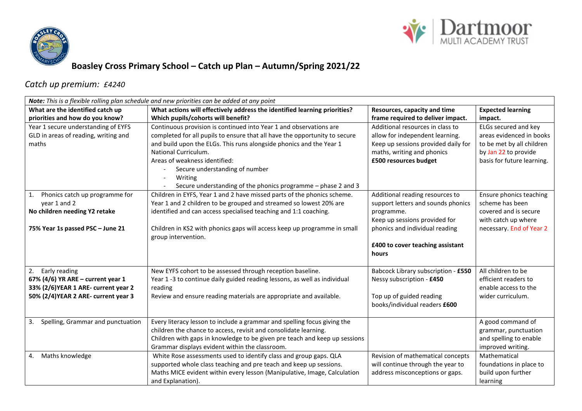



## **Boasley Cross Primary School – Catch up Plan – Autumn/Spring 2021/22**

## *Catch up premium: £4240*

| Note: This is a flexible rolling plan schedule and new priorities can be added at any point |                                                                                     |                                                                  |                            |  |  |  |
|---------------------------------------------------------------------------------------------|-------------------------------------------------------------------------------------|------------------------------------------------------------------|----------------------------|--|--|--|
| What are the identified catch up                                                            | What actions will effectively address the identified learning priorities?           | Resources, capacity and time                                     | <b>Expected learning</b>   |  |  |  |
| priorities and how do you know?                                                             | Which pupils/cohorts will benefit?                                                  | frame required to deliver impact.                                | impact.                    |  |  |  |
| Year 1 secure understanding of EYFS                                                         | Continuous provision is continued into Year 1 and observations are                  | Additional resources in class to                                 | ELGs secured and key       |  |  |  |
| GLD in areas of reading, writing and                                                        | completed for all pupils to ensure that all have the opportunity to secure          | allow for independent learning.                                  | areas evidenced in books   |  |  |  |
| maths                                                                                       | and build upon the ELGs. This runs alongside phonics and the Year 1                 | Keep up sessions provided daily for                              | to be met by all children  |  |  |  |
|                                                                                             | National Curriculum.                                                                | maths, writing and phonics                                       | by Jan 22 to provide       |  |  |  |
|                                                                                             | Areas of weakness identified:                                                       | £500 resources budget                                            | basis for future learning. |  |  |  |
|                                                                                             | Secure understanding of number                                                      |                                                                  |                            |  |  |  |
|                                                                                             | Writing                                                                             |                                                                  |                            |  |  |  |
|                                                                                             | Secure understanding of the phonics programme - phase 2 and 3                       |                                                                  |                            |  |  |  |
| Phonics catch up programme for<br>1.                                                        | Children in EYFS, Year 1 and 2 have missed parts of the phonics scheme.             | Additional reading resources to                                  | Ensure phonics teaching    |  |  |  |
| year 1 and 2                                                                                | Year 1 and 2 children to be grouped and streamed so lowest 20% are                  | support letters and sounds phonics                               | scheme has been            |  |  |  |
| No children needing Y2 retake                                                               | identified and can access specialised teaching and 1:1 coaching.                    | programme.                                                       | covered and is secure      |  |  |  |
|                                                                                             |                                                                                     | Keep up sessions provided for                                    | with catch up where        |  |  |  |
| 75% Year 1s passed PSC - June 21                                                            | Children in KS2 with phonics gaps will access keep up programme in small            | phonics and individual reading                                   | necessary. End of Year 2   |  |  |  |
|                                                                                             | group intervention.                                                                 |                                                                  |                            |  |  |  |
|                                                                                             |                                                                                     | £400 to cover teaching assistant                                 |                            |  |  |  |
|                                                                                             |                                                                                     | hours                                                            |                            |  |  |  |
|                                                                                             |                                                                                     |                                                                  | All children to be         |  |  |  |
| 2. Early reading                                                                            | New EYFS cohort to be assessed through reception baseline.                          | Babcock Library subscription - £550<br>Nessy subscription - £450 | efficient readers to       |  |  |  |
| 67% (4/6) YR ARE - current year 1<br>33% (2/6) YEAR 1 ARE- current year 2                   | Year 1-3 to continue daily guided reading lessons, as well as individual<br>reading |                                                                  | enable access to the       |  |  |  |
| 50% (2/4) YEAR 2 ARE- current year 3                                                        | Review and ensure reading materials are appropriate and available.                  | Top up of guided reading                                         | wider curriculum.          |  |  |  |
|                                                                                             |                                                                                     | books/individual readers £600                                    |                            |  |  |  |
|                                                                                             |                                                                                     |                                                                  |                            |  |  |  |
| Spelling, Grammar and punctuation<br>3.                                                     | Every literacy lesson to include a grammar and spelling focus giving the            |                                                                  | A good command of          |  |  |  |
|                                                                                             | children the chance to access, revisit and consolidate learning.                    |                                                                  | grammar, punctuation       |  |  |  |
|                                                                                             | Children with gaps in knowledge to be given pre teach and keep up sessions          |                                                                  | and spelling to enable     |  |  |  |
|                                                                                             | Grammar displays evident within the classroom.                                      |                                                                  | improved writing.          |  |  |  |
| 4. Maths knowledge                                                                          | White Rose assessments used to identify class and group gaps. QLA                   | Revision of mathematical concepts                                | Mathematical               |  |  |  |
|                                                                                             | supported whole class teaching and pre teach and keep up sessions.                  | will continue through the year to                                | foundations in place to    |  |  |  |
|                                                                                             | Maths MICE evident within every lesson (Manipulative, Image, Calculation            | address misconceptions or gaps.                                  | build upon further         |  |  |  |
|                                                                                             | and Explanation).                                                                   |                                                                  | learning                   |  |  |  |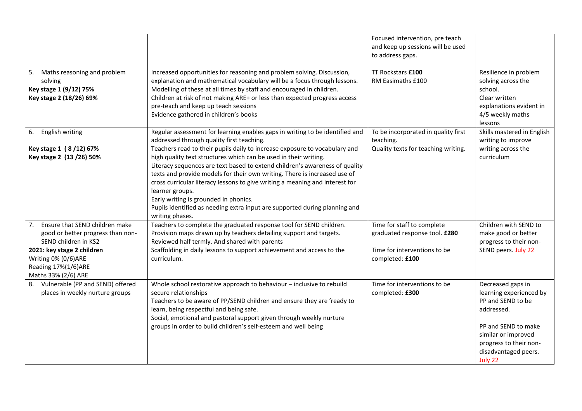| 5. Maths reasoning and problem                                                                                                                                                                    | Increased opportunities for reasoning and problem solving. Discussion,                                                                                                                                                                                                                                                                                                                                                                                                                                                                                                                                                                                                               | Focused intervention, pre teach<br>and keep up sessions will be used<br>to address gaps.<br>TT Rockstars £100  | Resilience in problem                                                                                                                                                                      |
|---------------------------------------------------------------------------------------------------------------------------------------------------------------------------------------------------|--------------------------------------------------------------------------------------------------------------------------------------------------------------------------------------------------------------------------------------------------------------------------------------------------------------------------------------------------------------------------------------------------------------------------------------------------------------------------------------------------------------------------------------------------------------------------------------------------------------------------------------------------------------------------------------|----------------------------------------------------------------------------------------------------------------|--------------------------------------------------------------------------------------------------------------------------------------------------------------------------------------------|
| solving<br>Key stage 1 (9/12) 75%<br>Key stage 2 (18/26) 69%                                                                                                                                      | explanation and mathematical vocabulary will be a focus through lessons.<br>Modelling of these at all times by staff and encouraged in children.<br>Children at risk of not making ARE+ or less than expected progress access<br>pre-teach and keep up teach sessions<br>Evidence gathered in children's books                                                                                                                                                                                                                                                                                                                                                                       | RM Easimaths £100                                                                                              | solving across the<br>school.<br>Clear written<br>explanations evident in<br>4/5 weekly maths<br>lessons                                                                                   |
| 6. English writing<br>Key stage 1 (8/12) 67%<br>Key stage 2 (13 / 26) 50%                                                                                                                         | Regular assessment for learning enables gaps in writing to be identified and<br>addressed through quality first teaching.<br>Teachers read to their pupils daily to increase exposure to vocabulary and<br>high quality text structures which can be used in their writing.<br>Literacy sequences are text based to extend children's awareness of quality<br>texts and provide models for their own writing. There is increased use of<br>cross curricular literacy lessons to give writing a meaning and interest for<br>learner groups.<br>Early writing is grounded in phonics.<br>Pupils identified as needing extra input are supported during planning and<br>writing phases. | To be incorporated in quality first<br>teaching.<br>Quality texts for teaching writing.                        | Skills mastered in English<br>writing to improve<br>writing across the<br>curriculum                                                                                                       |
| 7. Ensure that SEND children make<br>good or better progress than non-<br>SEND children in KS2<br>2021: key stage 2 children<br>Writing 0% (0/6)ARE<br>Reading 17%(1/6)ARE<br>Maths 33% (2/6) ARE | Teachers to complete the graduated response tool for SEND children.<br>Provision maps drawn up by teachers detailing support and targets.<br>Reviewed half termly. And shared with parents<br>Scaffolding in daily lessons to support achievement and access to the<br>curriculum.                                                                                                                                                                                                                                                                                                                                                                                                   | Time for staff to complete<br>graduated response tool. £280<br>Time for interventions to be<br>completed: £100 | Children with SEND to<br>make good or better<br>progress to their non-<br>SEND peers. July 22                                                                                              |
| 8. Vulnerable (PP and SEND) offered<br>places in weekly nurture groups                                                                                                                            | Whole school restorative approach to behaviour - inclusive to rebuild<br>secure relationships<br>Teachers to be aware of PP/SEND children and ensure they are 'ready to<br>learn, being respectful and being safe.<br>Social, emotional and pastoral support given through weekly nurture<br>groups in order to build children's self-esteem and well being                                                                                                                                                                                                                                                                                                                          | Time for interventions to be<br>completed: £300                                                                | Decreased gaps in<br>learning experienced by<br>PP and SEND to be<br>addressed.<br>PP and SEND to make<br>similar or improved<br>progress to their non-<br>disadvantaged peers.<br>July 22 |